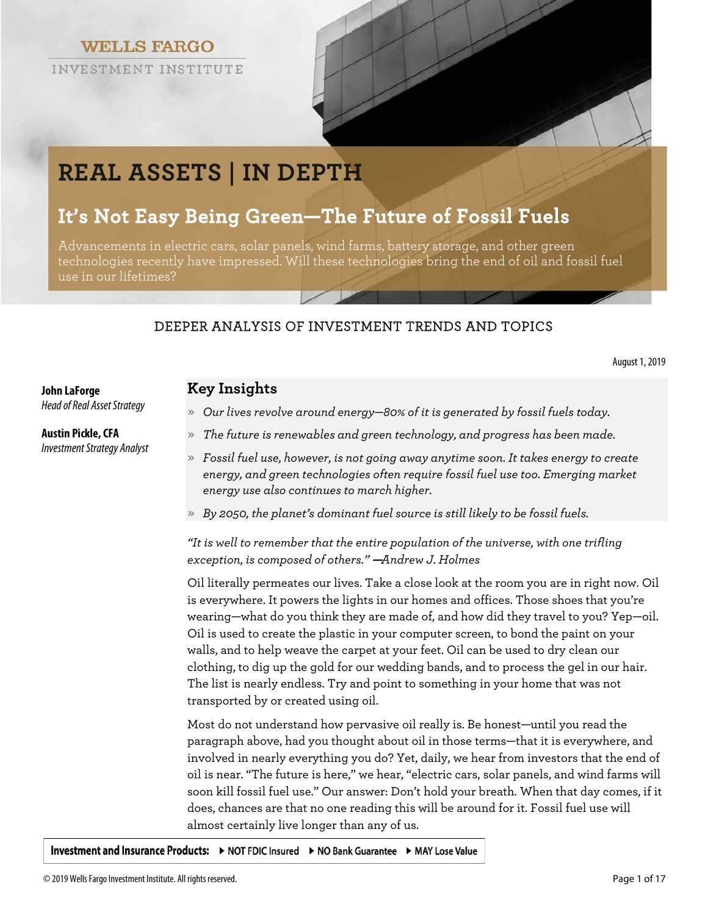**WELLS FARGO** 

INVESTMENT INSTITUTE



# **REAL ASSETS | IN DEPTH**

# **It's Not Easy Being Green—The Future of Fossil Fuels**

Advancements in electric cars, solar panels, wind farms, battery storage, and other green technologies recently have impressed. Will these technologies bring the end of oil and fossil fuel use in our lifetimes?

# DEEPER ANALYSIS OF INVESTMENT TRENDS AND TOPICS

August 1, 2019

# **Key Insights**

*Head of Real Asset Strategy*

**John LaForge**

**Austin Pickle, CFA** *Investment Strategy Analyst*

- » *Our lives revolve around energy—80% of it is generated by fossil fuels today.*
- » *The future is renewables and green technology, and progress has been made.*
- » *Fossil fuel use, however, is not going away anytime soon. It takes energy to create energy, and green technologies often require fossil fuel use too. Emerging market energy use also continues to march higher.*
- » *By 2050, the planet's dominant fuel source is still likely to be fossil fuels.*

# *"It is well to remember that the entire population of the universe, with one trifling exception, is composed of others."* —*Andrew J. Holmes*

Oil literally permeates our lives. Take a close look at the room you are in right now. Oil is everywhere. It powers the lights in our homes and offices. Those shoes that you're wearing—what do you think they are made of, and how did they travel to you? Yep—oil. Oil is used to create the plastic in your computer screen, to bond the paint on your walls, and to help weave the carpet at your feet. Oil can be used to dry clean our clothing, to dig up the gold for our wedding bands, and to process the gel in our hair. The list is nearly endless. Try and point to something in your home that was not transported by or created using oil.

Most do not understand how pervasive oil really is. Be honest—until you read the paragraph above, had you thought about oil in those terms—that it is everywhere, and involved in nearly everything you do? Yet, daily, we hear from investors that the end of oil is near. "The future is here," we hear, "electric cars, solar panels, and wind farms will soon kill fossil fuel use." Our answer: Don't hold your breath. When that day comes, if it does, chances are that no one reading this will be around for it. Fossil fuel use will almost certainly live longer than any of us.

Investment and Insurance Products: ▶ NOT FDIC Insured ▶ NO Bank Guarantee ▶ MAY Lose Value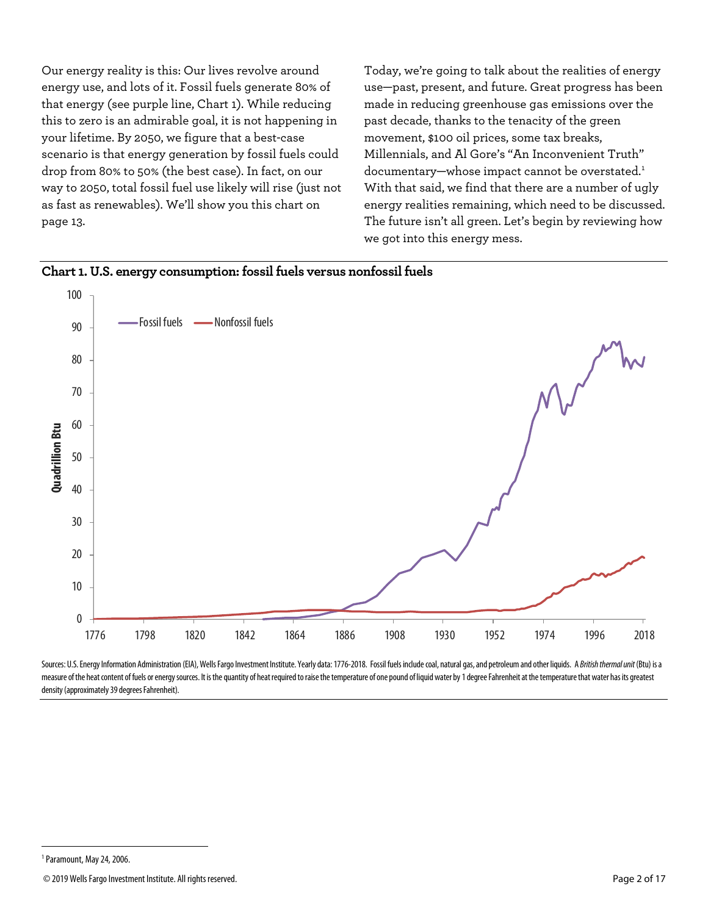Our energy reality is this: Our lives revolve around energy use, and lots of it. Fossil fuels generate 80% of that energy (see purple line, Chart 1). While reducing this to zero is an admirable goal, it is not happening in your lifetime. By 2050, we figure that a best-case scenario is that energy generation by fossil fuels could drop from 80% to 50% (the best case). In fact, on our way to 2050, total fossil fuel use likely will rise (just not as fast as renewables). We'll show you this chart on page 13.

Today, we're going to talk about the realities of energy use—past, present, and future. Great progress has been made in reducing greenhouse gas emissions over the past decade, thanks to the tenacity of the green movement, \$100 oil prices, some tax breaks, Millennials, and Al Gore's "An Inconvenient Truth" documentary—whose impact cannot be overstated.<sup>[1](#page-1-0)</sup> With that said, we find that there are a number of ugly energy realities remaining, which need to be discussed. The future isn't all green. Let's begin by reviewing how we got into this energy mess.



Sources: U.S. Energy Information Administration (EIA), Wells Fargo Investment Institute. Yearly data: 1776-2018. Fossil fuels include coal, natural gas, and petroleum and other liquids. A British thermal unit (Btu) is a measure of the heat content of fuels or energy sources. It is the quantity of heat required to raise the temperature of one pound of liquid water by 1 degree Fahrenheit at the temperature that water has its greatest density (approximately 39 degrees Fahrenheit).

 $\overline{a}$ 

<span id="page-1-0"></span><sup>1</sup>Paramount, May24, 2006.

<sup>© 2019</sup>Wells Fargo Investment Institute. All rights reserved. Page 2 of 17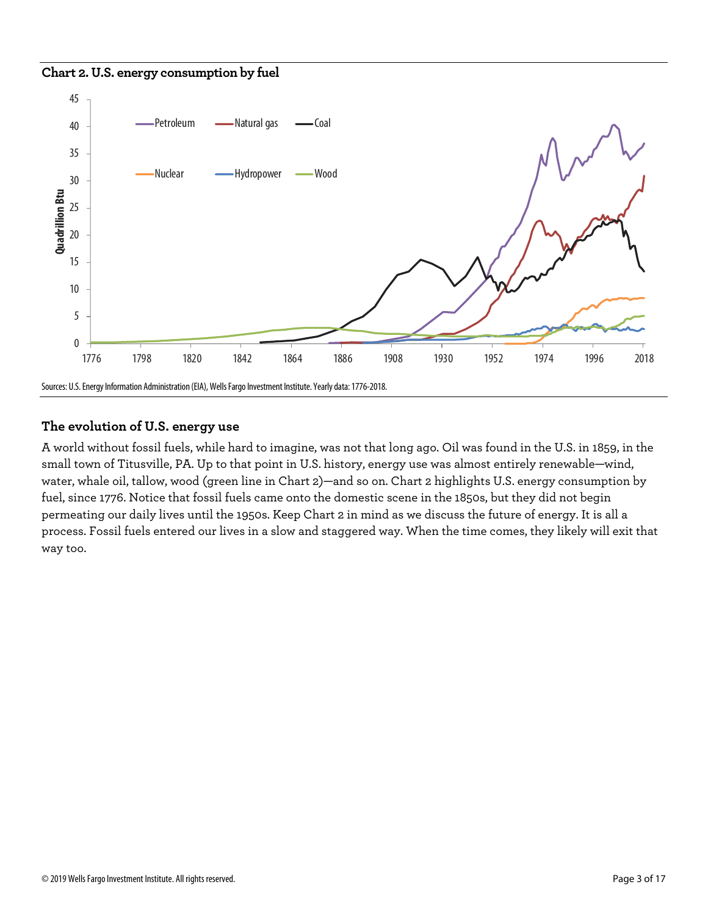#### **Chart 2. U.S. energy consumption by fuel**



# **The evolution of U.S. energy use**

A world without fossil fuels, while hard to imagine, was not that long ago. Oil was found in the U.S. in 1859, in the small town of Titusville, PA. Up to that point in U.S. history, energy use was almost entirely renewable—wind, water, whale oil, tallow, wood (green line in Chart 2)—and so on. Chart 2 highlights U.S. energy consumption by fuel, since 1776. Notice that fossil fuels came onto the domestic scene in the 1850s, but they did not begin permeating our daily lives until the 1950s. Keep Chart 2 in mind as we discuss the future of energy. It is all a process. Fossil fuels entered our lives in a slow and staggered way. When the time comes, they likely will exit that way too.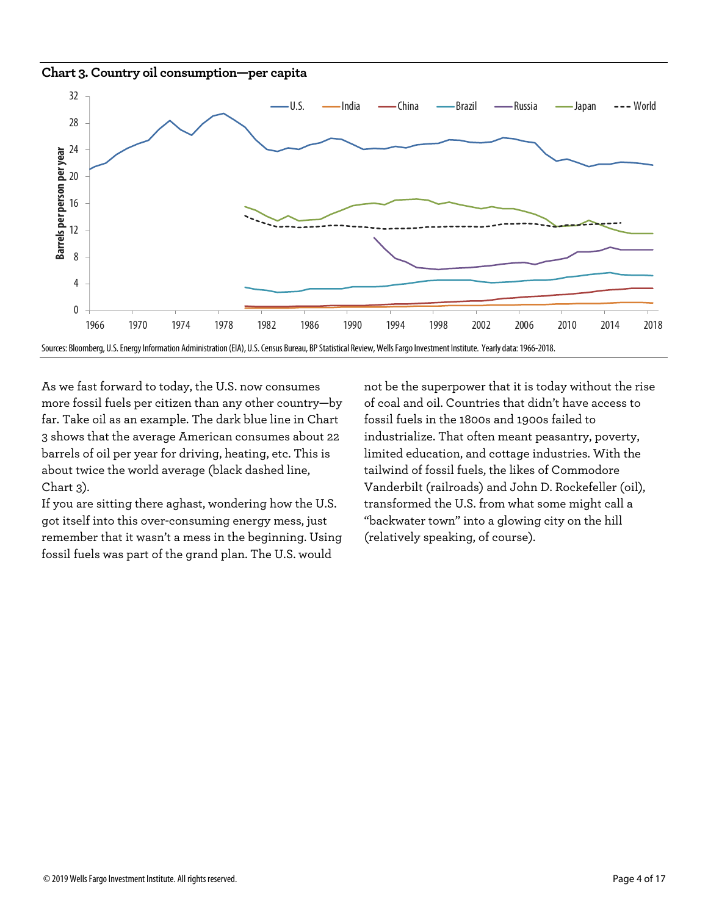#### **Chart 3. Country oil consumption—per capita**



As we fast forward to today, the U.S. now consumes more fossil fuels per citizen than any other country—by far. Take oil as an example. The dark blue line in Chart 3 shows that the average American consumes about 22 barrels of oil per year for driving, heating, etc. This is about twice the world average (black dashed line, Chart 3).

If you are sitting there aghast, wondering how the U.S. got itself into this over-consuming energy mess, just remember that it wasn't a mess in the beginning. Using fossil fuels was part of the grand plan. The U.S. would

not be the superpower that it is today without the rise of coal and oil. Countries that didn't have access to fossil fuels in the 1800s and 1900s failed to industrialize. That often meant peasantry, poverty, limited education, and cottage industries. With the tailwind of fossil fuels, the likes of Commodore Vanderbilt (railroads) and John D. Rockefeller (oil), transformed the U.S. from what some might call a "backwater town" into a glowing city on the hill (relatively speaking, of course).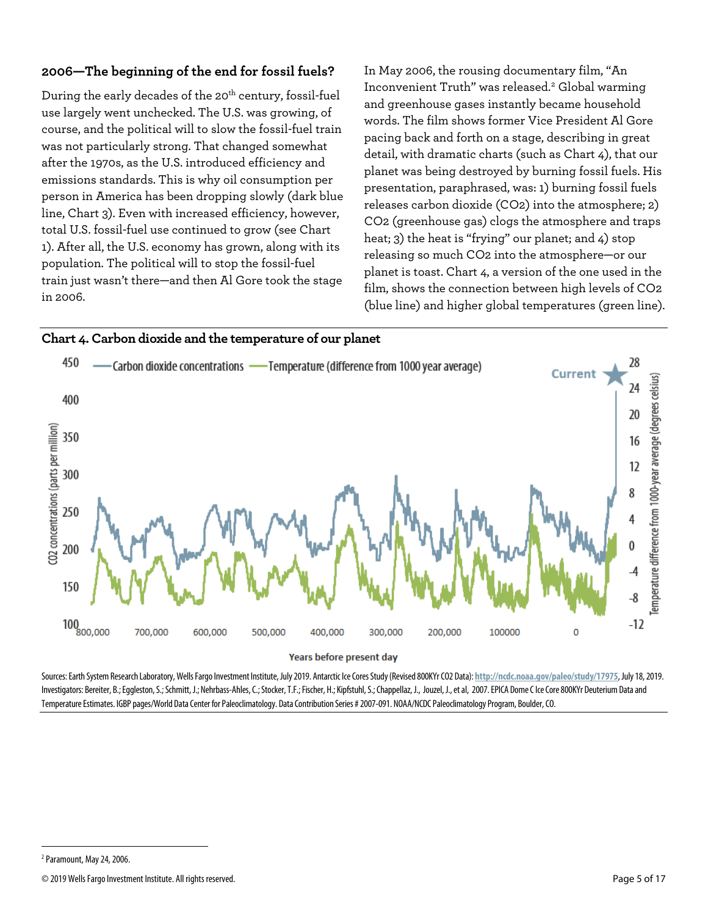# **2006—The beginning of the end for fossil fuels?**

During the early decades of the 20<sup>th</sup> century, fossil-fuel use largely went unchecked. The U.S. was growing, of course, and the political will to slow the fossil-fuel train was not particularly strong. That changed somewhat after the 1970s, as the U.S. introduced efficiency and emissions standards. This is why oil consumption per person in America has been dropping slowly (dark blue line, Chart 3). Even with increased efficiency, however, total U.S. fossil-fuel use continued to grow (see Chart 1). After all, the U.S. economy has grown, along with its population. The political will to stop the fossil-fuel train just wasn't there—and then Al Gore took the stage in 2006.

In May 2006, the rousing documentary film, "An Inconvenient Truth" was released.<sup>[2](#page-4-0)</sup> Global warming and greenhouse gases instantly became household words. The film shows former Vice President Al Gore pacing back and forth on a stage, describing in great detail, with dramatic charts (such as Chart 4), that our planet was being destroyed by burning fossil fuels. His presentation, paraphrased, was: 1) burning fossil fuels releases carbon dioxide (CO2) into the atmosphere; 2) CO2 (greenhouse gas) clogs the atmosphere and traps heat; 3) the heat is "frying" our planet; and 4) stop releasing so much CO2 into the atmosphere—or our planet is toast. Chart 4, a version of the one used in the film, shows the connection between high levels of CO2 (blue line) and higher global temperatures (green line).



Sources: Earth System Research Laboratory, Wells Fargo Investment Institute, July 2019. Antarctic Ice Cores Study (Revised 800KYr CO2 Data): **http://ncdc.noaa.gov/paleo/study/17975**, July 18, 2019. Investigators: Bereiter, B.; Eggleston, S.; Schmitt, J.; Nehrbass-Ahles, C.; Stocker, T.F.; Fischer, H.; Kipfstuhl, S.; Chappellaz, J., Jouzel, J., et al, 2007. EPICA Dome C Ice Core 800KYr Deuterium Data and Temperature Estimates. IGBP pages/World Data Center for Paleoclimatology. Data Contribution Series # 2007-091. NOAA/NCDC Paleoclimatology Program, Boulder,CO.

 $\overline{a}$ 

<span id="page-4-0"></span><sup>&</sup>lt;sup>2</sup> Paramount, May 24, 2006.

<sup>© 2019</sup>Wells Fargo Investment Institute. All rights reserved. Page 5 of 17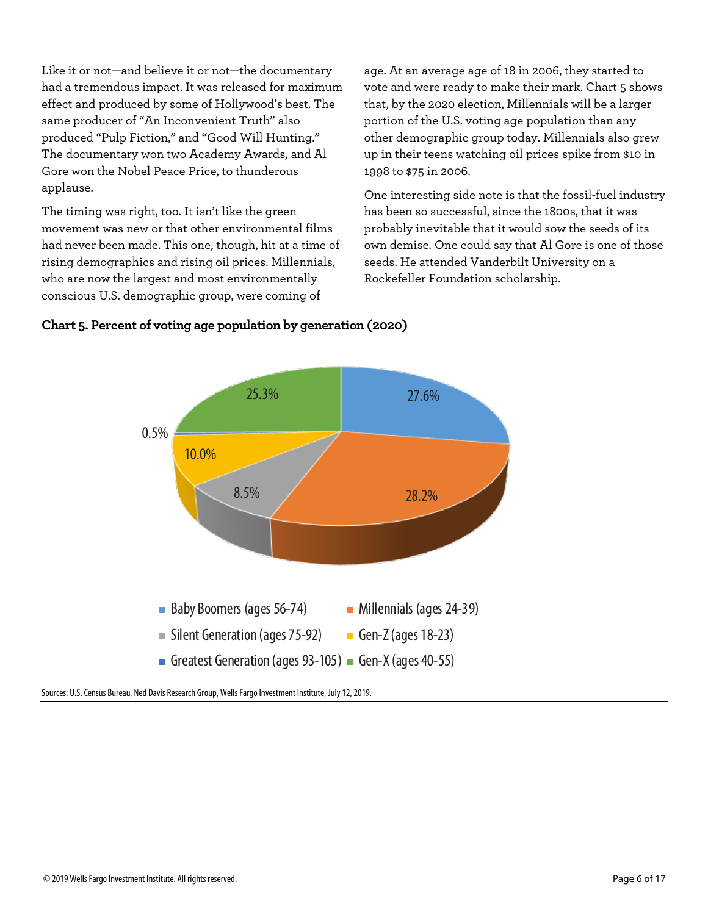Like it or not—and believe it or not—the documentary had a tremendous impact. It was released for maximum effect and produced by some of Hollywood's best. The same producer of "An Inconvenient Truth" also produced "Pulp Fiction," and "Good Will Hunting." The documentary won two Academy Awards, and Al Gore won the Nobel Peace Price, to thunderous applause.

The timing was right, too. It isn't like the green movement was new or that other environmental films had never been made. This one, though, hit at a time of rising demographics and rising oil prices. Millennials, who are now the largest and most environmentally conscious U.S. demographic group, were coming of

age. At an average age of 18 in 2006, they started to vote and were ready to make their mark. Chart 5 shows that, by the 2020 election, Millennials will be a larger portion of the U.S. voting age population than any other demographic group today. Millennials also grew up in their teens watching oil prices spike from \$10 in 1998 to \$75 in 2006.

One interesting side note is that the fossil-fuel industry has been so successful, since the 1800s, that it was probably inevitable that it would sow the seeds of its own demise. One could say that Al Gore is one of those seeds. He attended Vanderbilt University on a Rockefeller Foundation scholarship.





Sources: U.S. Census Bureau, Ned Davis Research Group, Wells Fargo Investment Institute, July 12, 2019.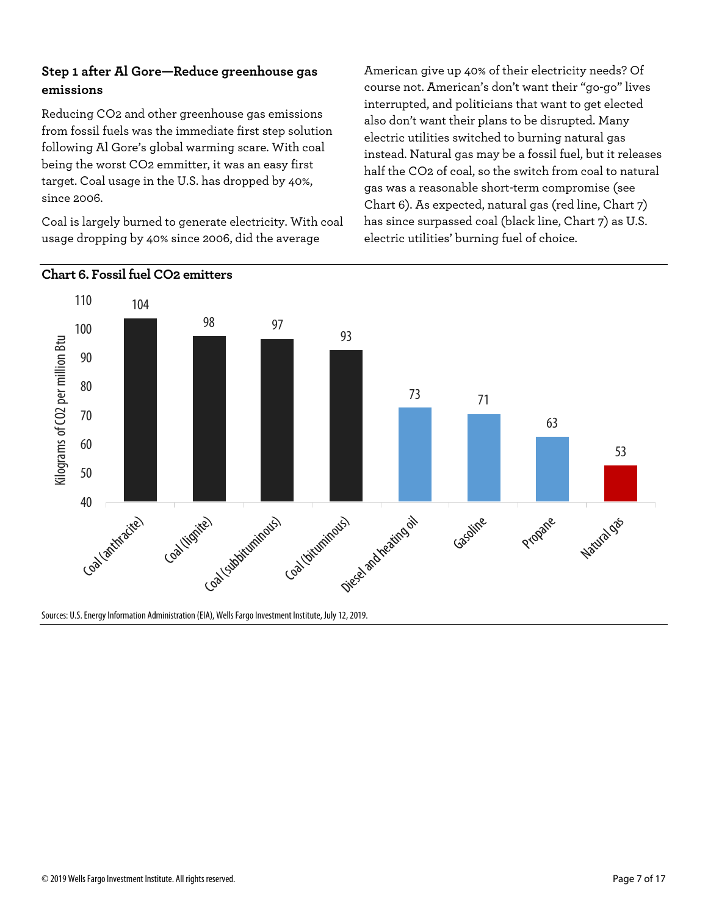# **Step 1 after Al Gore—Reduce greenhouse gas emissions**

Reducing CO2 and other greenhouse gas emissions from fossil fuels was the immediate first step solution following Al Gore's global warming scare. With coal being the worst CO2 emmitter, it was an easy first target. Coal usage in the U.S. has dropped by 40%, since 2006.

Coal is largely burned to generate electricity. With coal usage dropping by 40% since 2006, did the average

American give up 40% of their electricity needs? Of course not. American's don't want their "go-go" lives interrupted, and politicians that want to get elected also don't want their plans to be disrupted. Many electric utilities switched to burning natural gas instead. Natural gas may be a fossil fuel, but it releases half the CO2 of coal, so the switch from coal to natural gas was a reasonable short-term compromise (see Chart 6). As expected, natural gas (red line, Chart 7) has since surpassed coal (black line, Chart 7) as U.S. electric utilities' burning fuel of choice.



# **Chart 6. Fossil fuel CO2 emitters**

Sources: U.S. Energy Information Administration (EIA), Wells Fargo Investment Institute, July 12, 2019.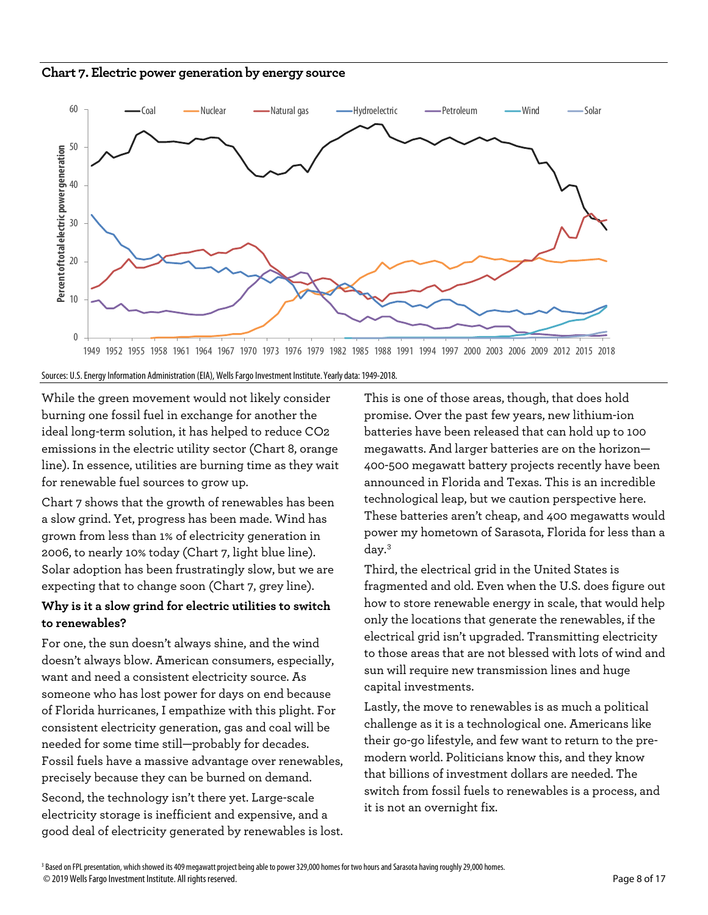



Sources: U.S. Energy Information Administration (EIA), Wells Fargo Investment Institute. Yearly data: 1949-2018.

While the green movement would not likely consider burning one fossil fuel in exchange for another the ideal long-term solution, it has helped to reduce CO2 emissions in the electric utility sector (Chart 8, orange line). In essence, utilities are burning time as they wait for renewable fuel sources to grow up.

Chart 7 shows that the growth of renewables has been a slow grind. Yet, progress has been made. Wind has grown from less than 1% of electricity generation in 2006, to nearly 10% today (Chart 7, light blue line). Solar adoption has been frustratingly slow, but we are expecting that to change soon (Chart 7, grey line).

# **Why is it a slow grind for electric utilities to switch to renewables?**

For one, the sun doesn't always shine, and the wind doesn't always blow. American consumers, especially, want and need a consistent electricity source. As someone who has lost power for days on end because of Florida hurricanes, I empathize with this plight. For consistent electricity generation, gas and coal will be needed for some time still—probably for decades. Fossil fuels have a massive advantage over renewables, precisely because they can be burned on demand.

<span id="page-7-0"></span>Second, the technology isn't there yet. Large-scale electricity storage is inefficient and expensive, and a good deal of electricity generated by renewables is lost. This is one of those areas, though, that does hold promise. Over the past few years, new lithium-ion batteries have been released that can hold up to 100 megawatts. And larger batteries are on the horizon— 400-500 megawatt battery projects recently have been announced in Florida and Texas. This is an incredible technological leap, but we caution perspective here. These batteries aren't cheap, and 400 megawatts would power my hometown of Sarasota, Florida for less than a day.[3](#page-7-0)

Third, the electrical grid in the United States is fragmented and old. Even when the U.S. does figure out how to store renewable energy in scale, that would help only the locations that generate the renewables, if the electrical grid isn't upgraded. Transmitting electricity to those areas that are not blessed with lots of wind and sun will require new transmission lines and huge capital investments.

Lastly, the move to renewables is as much a political challenge as it is a technological one. Americans like their go-go lifestyle, and few want to return to the premodern world. Politicians know this, and they know that billions of investment dollars are needed. The switch from fossil fuels to renewables is a process, and it is not an overnight fix.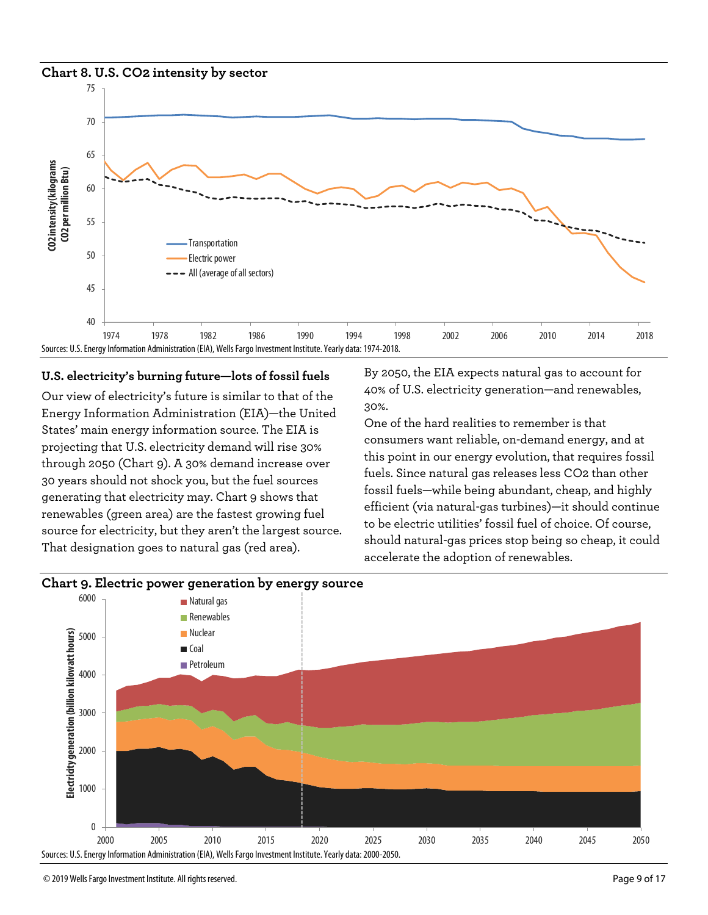#### **Chart 8. U.S. CO2 intensity by sector**



#### **U.S. electricity's burning future—lots of fossil fuels**

Our view of electricity's future is similar to that of the Energy Information Administration (EIA)—the United States' main energy information source. The EIA is projecting that U.S. electricity demand will rise 30% through 2050 (Chart 9). A 30% demand increase over 30 years should not shock you, but the fuel sources generating that electricity may. Chart 9 shows that renewables (green area) are the fastest growing fuel source for electricity, but they aren't the largest source. That designation goes to natural gas (red area).

By 2050, the EIA expects natural gas to account for 40% of U.S. electricity generation—and renewables, 30%.

One of the hard realities to remember is that consumers want reliable, on-demand energy, and at this point in our energy evolution, that requires fossil fuels. Since natural gas releases less CO2 than other fossil fuels—while being abundant, cheap, and highly efficient (via natural-gas turbines)—it should continue to be electric utilities' fossil fuel of choice. Of course, should natural-gas prices stop being so cheap, it could accelerate the adoption of renewables.



#### **Chart 9. Electric power generation by energy source**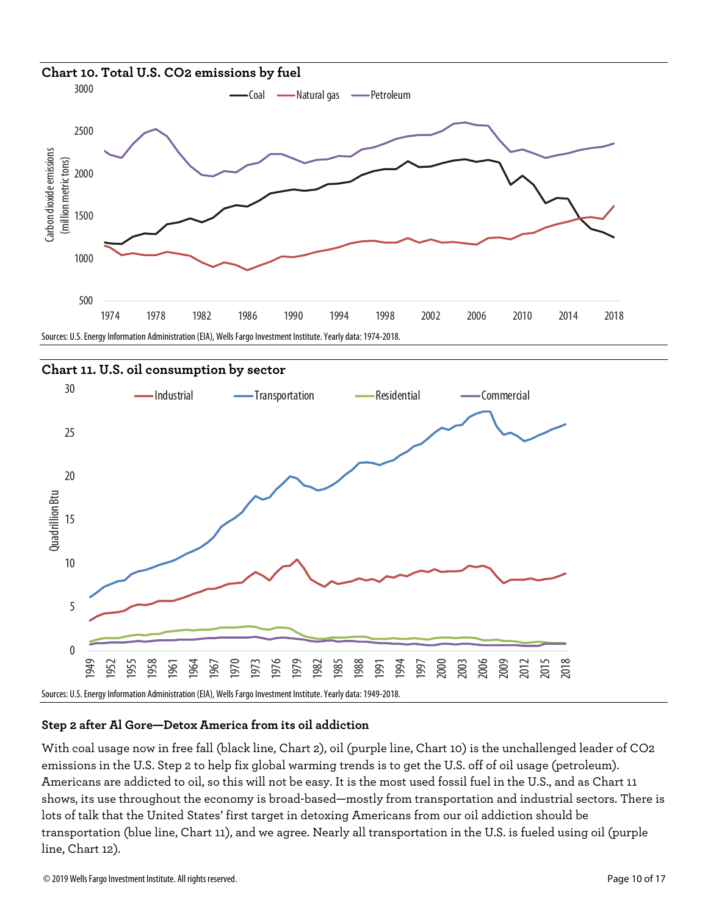



## **Step 2 after Al Gore—Detox America from its oil addiction**

With coal usage now in free fall (black line, Chart 2), oil (purple line, Chart 10) is the unchallenged leader of CO2 emissions in the U.S. Step 2 to help fix global warming trends is to get the U.S. off of oil usage (petroleum). Americans are addicted to oil, so this will not be easy. It is the most used fossil fuel in the U.S., and as Chart 11 shows, its use throughout the economy is broad-based—mostly from transportation and industrial sectors. There is lots of talk that the United States' first target in detoxing Americans from our oil addiction should be transportation (blue line, Chart 11), and we agree. Nearly all transportation in the U.S. is fueled using oil (purple line, Chart 12).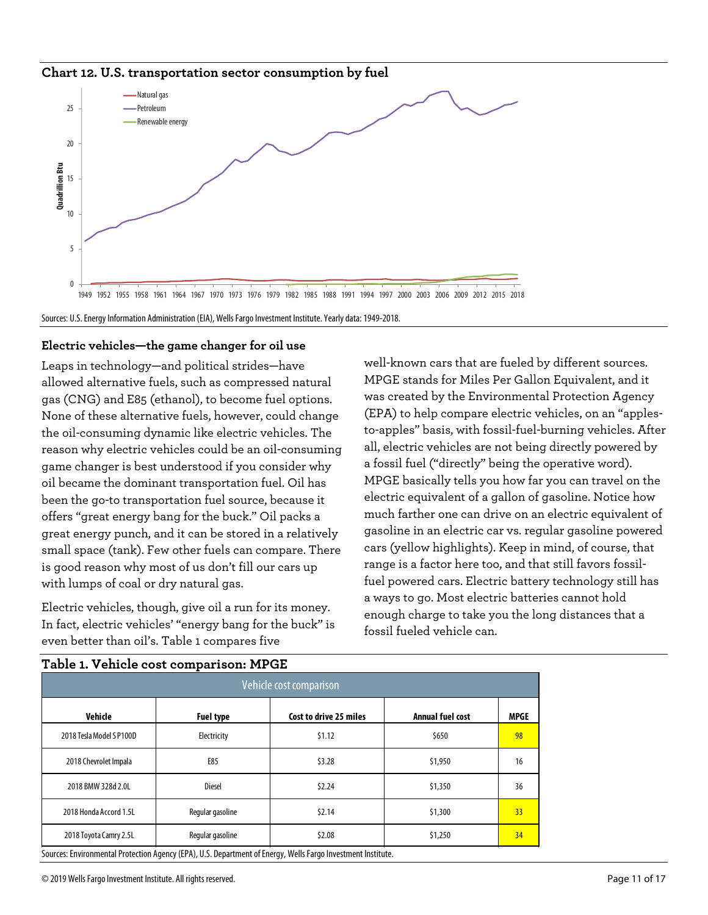**Chart 12. U.S. transportation sector consumption by fuel**



Sources: U.S. Energy Information Administration (EIA), Wells Fargo Investment Institute. Yearly data: 1949-2018.

#### **Electric vehicles—the game changer for oil use**

Leaps in technology—and political strides—have allowed alternative fuels, such as compressed natural gas (CNG) and E85 (ethanol), to become fuel options. None of these alternative fuels, however, could change the oil-consuming dynamic like electric vehicles. The reason why electric vehicles could be an oil-consuming game changer is best understood if you consider why oil became the dominant transportation fuel. Oil has been the go-to transportation fuel source, because it offers "great energy bang for the buck." Oil packs a great energy punch, and it can be stored in a relatively small space (tank). Few other fuels can compare. There is good reason why most of us don't fill our cars up with lumps of coal or dry natural gas.

Electric vehicles, though, give oil a run for its money. In fact, electric vehicles' "energy bang for the buck" is even better than oil's. Table 1 compares five

well-known cars that are fueled by different sources. MPGE stands for Miles Per Gallon Equivalent, and it was created by the Environmental Protection Agency (EPA) to help compare electric vehicles, on an "applesto-apples" basis, with fossil-fuel-burning vehicles. After all, electric vehicles are not being directly powered by a fossil fuel ("directly" being the operative word). MPGE basically tells you how far you can travel on the electric equivalent of a gallon of gasoline. Notice how much farther one can drive on an electric equivalent of gasoline in an electric car vs. regular gasoline powered cars (yellow highlights). Keep in mind, of course, that range is a factor here too, and that still favors fossilfuel powered cars. Electric battery technology still has a ways to go. Most electric batteries cannot hold enough charge to take you the long distances that a fossil fueled vehicle can.

| Vehicle cost comparison |                        |                  |             |
|-------------------------|------------------------|------------------|-------------|
| <b>Fuel type</b>        | Cost to drive 25 miles | Annual fuel cost | <b>MPGE</b> |
| Electricity             | \$1.12                 | \$650            | 98          |
| E85                     | \$3.28                 | \$1,950          | 16          |
| Diesel                  | 52.24                  | \$1,350          | 36          |
| Regular gasoline        | \$2.14                 | \$1,300          | 33          |
| Regular gasoline        | \$2.08                 | \$1,250          | 34          |
|                         |                        |                  |             |

## **Table 1. Vehicle cost comparison: MPGE**

© 2019Wells Fargo Investment Institute. All rights reserved. Page 11 of 17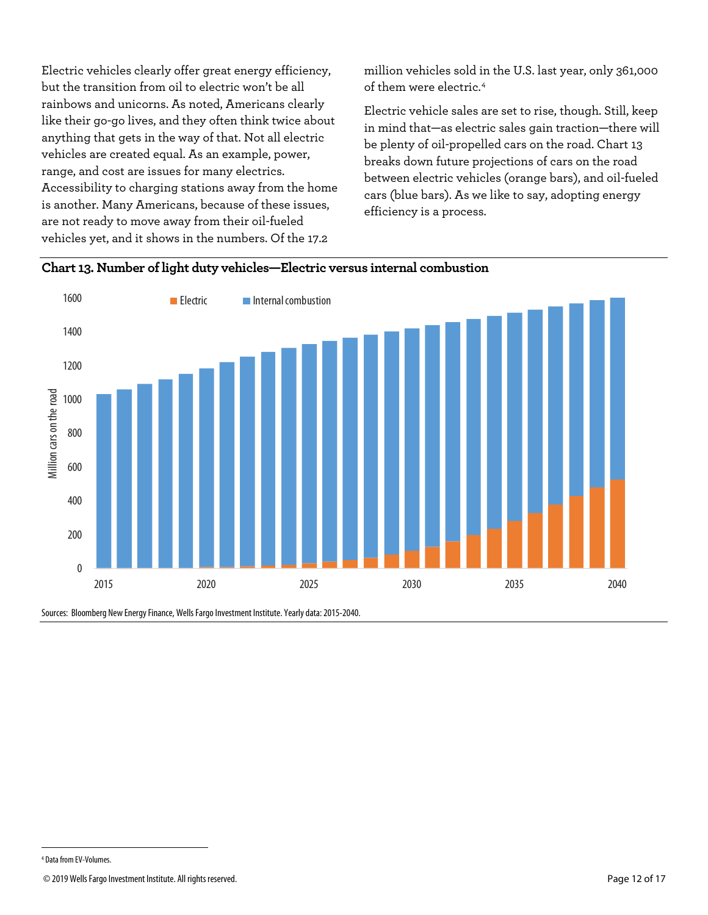Electric vehicles clearly offer great energy efficiency, but the transition from oil to electric won't be all rainbows and unicorns. As noted, Americans clearly like their go-go lives, and they often think twice about anything that gets in the way of that. Not all electric vehicles are created equal. As an example, power, range, and cost are issues for many electrics. Accessibility to charging stations away from the home is another. Many Americans, because of these issues, are not ready to move away from their oil-fueled vehicles yet, and it shows in the numbers. Of the 17.2

million vehicles sold in the U.S. last year, only 361,000 of them were electric.[4](#page-11-0)

Electric vehicle sales are set to rise, though. Still, keep in mind that—as electric sales gain traction—there will be plenty of oil-propelled cars on the road. Chart 13 breaks down future projections of cars on the road between electric vehicles (orange bars), and oil-fueled cars (blue bars). As we like to say, adopting energy efficiency is a process.





Sources: Bloomberg New Energy Finance, Wells Fargo Investment Institute. Yearly data: 2015-2040.

 $\overline{a}$ 

<span id="page-11-0"></span><sup>4</sup> Data from EV-Volumes.

<sup>© 2019</sup>Wells Fargo Investment Institute. All rights reserved. Page 12 of 17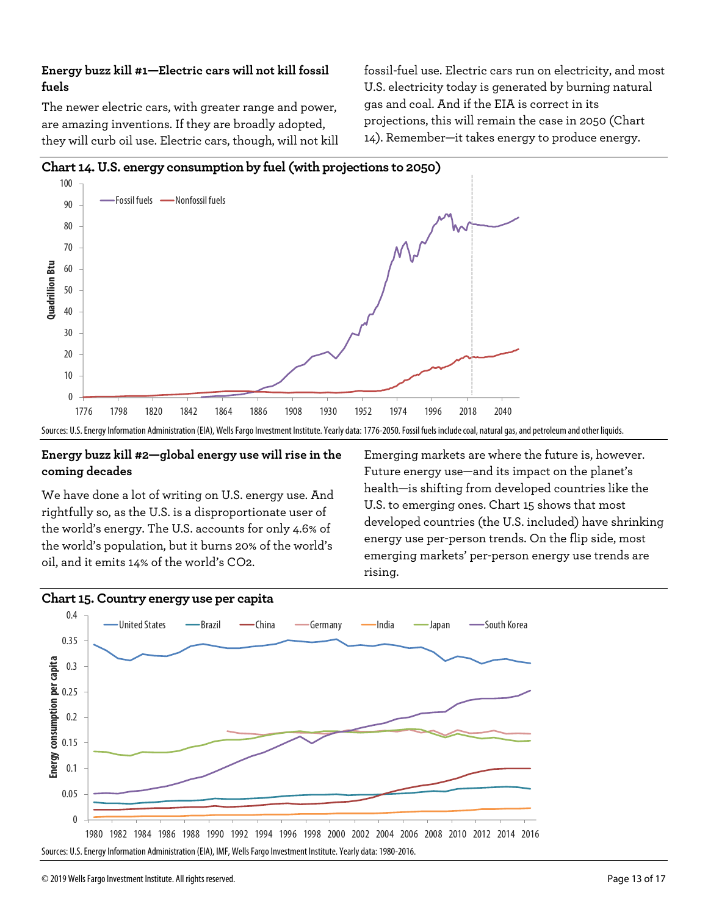# **Energy buzz kill #1—Electric cars will not kill fossil fuels**

The newer electric cars, with greater range and power, are amazing inventions. If they are broadly adopted, they will curb oil use. Electric cars, though, will not kill fossil-fuel use. Electric cars run on electricity, and most U.S. electricity today is generated by burning natural gas and coal. And if the EIA is correct in its projections, this will remain the case in 2050 (Chart 14). Remember—it takes energy to produce energy.



# **Energy buzz kill #2—global energy use will rise in the coming decades**

We have done a lot of writing on U.S. energy use. And rightfully so, as the U.S. is a disproportionate user of the world's energy. The U.S. accounts for only 4.6% of the world's population, but it burns 20% of the world's oil, and it emits 14% of the world's CO2.

Emerging markets are where the future is, however. Future energy use—and its impact on the planet's health—is shifting from developed countries like the U.S. to emerging ones. Chart 15 shows that most developed countries (the U.S. included) have shrinking energy use per-person trends. On the flip side, most emerging markets' per-person energy use trends are rising.

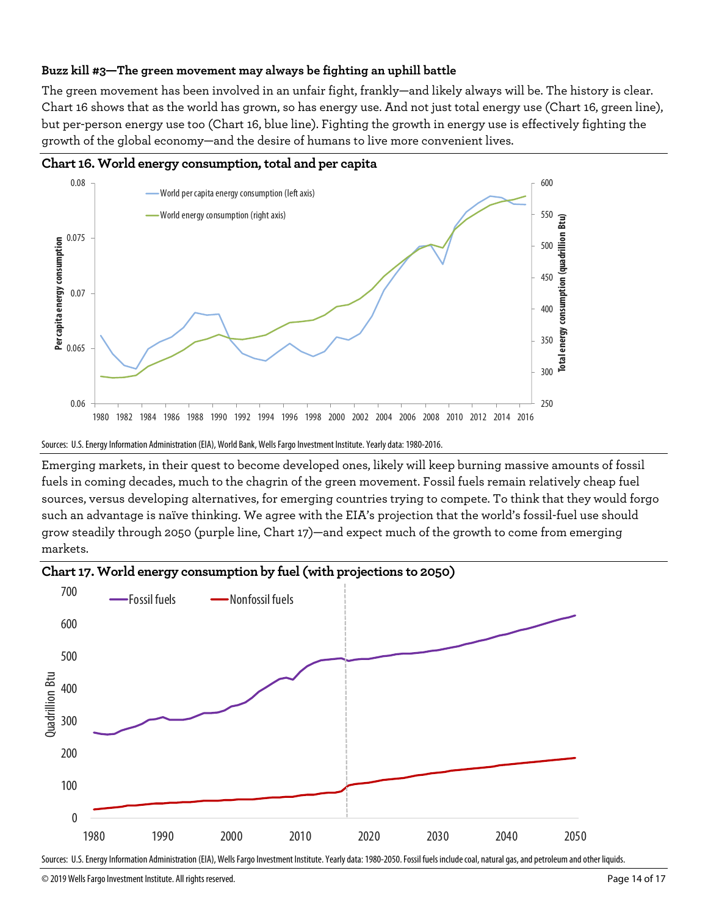# **Buzz kill #3—The green movement may always be fighting an uphill battle**

The green movement has been involved in an unfair fight, frankly—and likely always will be. The history is clear. Chart 16 shows that as the world has grown, so has energy use. And not just total energy use (Chart 16, green line), but per-person energy use too (Chart 16, blue line). Fighting the growth in energy use is effectively fighting the growth of the global economy—and the desire of humans to live more convenient lives.



**Chart 16. World energy consumption, total and per capita**

Emerging markets, in their quest to become developed ones, likely will keep burning massive amounts of fossil fuels in coming decades, much to the chagrin of the green movement. Fossil fuels remain relatively cheap fuel sources, versus developing alternatives, for emerging countries trying to compete. To think that they would forgo such an advantage is naïve thinking. We agree with the EIA's projection that the world's fossil-fuel use should grow steadily through 2050 (purple line, Chart 17)—and expect much of the growth to come from emerging markets.





Sources: U.S. Energy Information Administration (EIA), Wells Fargo Investment Institute. Yearly data: 1980-2050. Fossil fuels include coal, natural gas, and petroleum and other liquids.

Sources: U.S. Energy Information Administration (EIA), World Bank, Wells Fargo Investment Institute. Yearly data: 1980-2016.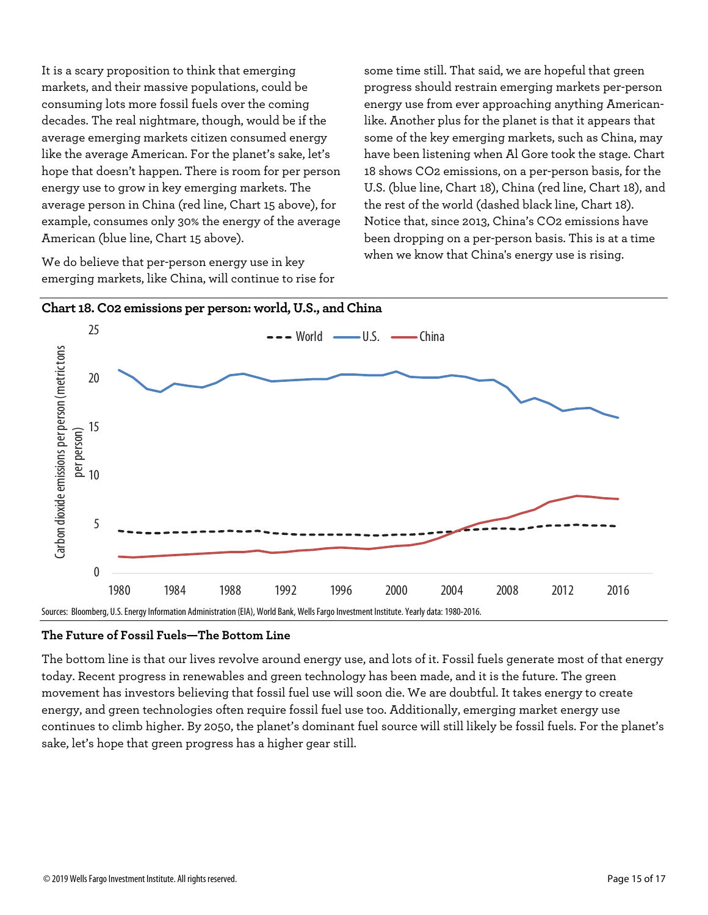It is a scary proposition to think that emerging markets, and their massive populations, could be consuming lots more fossil fuels over the coming decades. The real nightmare, though, would be if the average emerging markets citizen consumed energy like the average American. For the planet's sake, let's hope that doesn't happen. There is room for per person energy use to grow in key emerging markets. The average person in China (red line, Chart 15 above), for example, consumes only 30% the energy of the average American (blue line, Chart 15 above).

We do believe that per-person energy use in key emerging markets, like China, will continue to rise for some time still. That said, we are hopeful that green progress should restrain emerging markets per-person energy use from ever approaching anything Americanlike. Another plus for the planet is that it appears that some of the key emerging markets, such as China, may have been listening when Al Gore took the stage. Chart 18 shows CO2 emissions, on a per-person basis, for the U.S. (blue line, Chart 18), China (red line, Chart 18), and the rest of the world (dashed black line, Chart 18). Notice that, since 2013, China's CO2 emissions have been dropping on a per-person basis. This is at a time when we know that China's energy use is rising.



#### **The Future of Fossil Fuels—The Bottom Line**

The bottom line is that our lives revolve around energy use, and lots of it. Fossil fuels generate most of that energy today. Recent progress in renewables and green technology has been made, and it is the future. The green movement has investors believing that fossil fuel use will soon die. We are doubtful. It takes energy to create energy, and green technologies often require fossil fuel use too. Additionally, emerging market energy use continues to climb higher. By 2050, the planet's dominant fuel source will still likely be fossil fuels. For the planet's sake, let's hope that green progress has a higher gear still.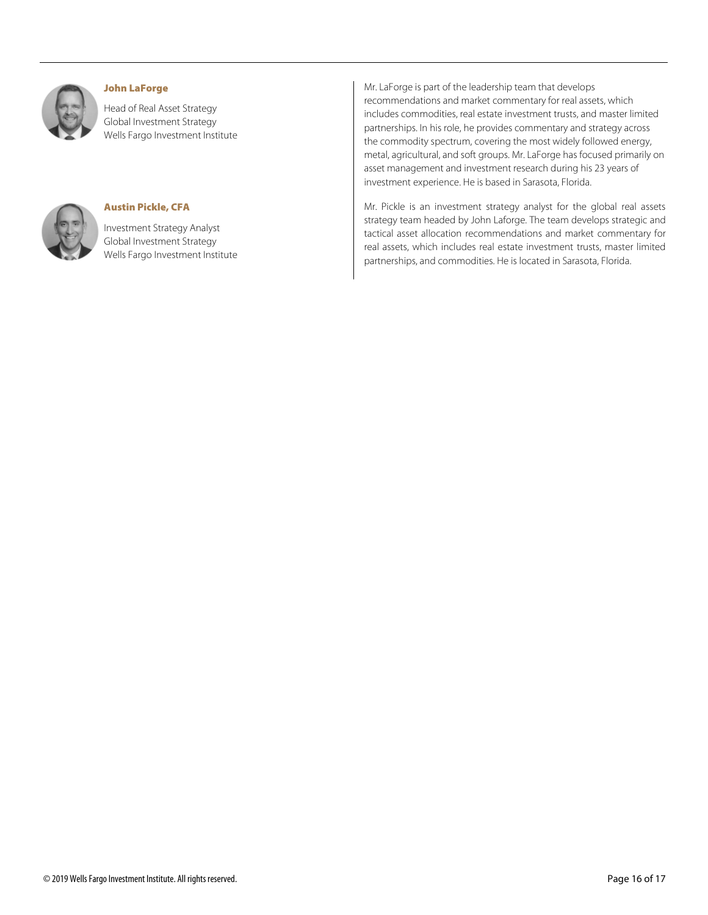

#### John LaForge

Head of Real Asset Strategy Global Investment Strategy Wells Fargo Investment Institute



#### Austin Pickle, CFA

Investment Strategy Analyst Global Investment Strategy Wells Fargo Investment Institute Mr. LaForge is part of the leadership team that develops recommendations and market commentary for real assets, which includes commodities, real estate investment trusts, and master limited partnerships. In his role, he provides commentary and strategy across the commodity spectrum, covering the most widely followed energy, metal, agricultural, and soft groups. Mr. LaForge has focused primarily on asset management and investment research during his 23 years of investment experience. He is based in Sarasota, Florida.

Mr. Pickle is an investment strategy analyst for the global real assets strategy team headed by John Laforge. The team develops strategic and tactical asset allocation recommendations and market commentary for real assets, which includes real estate investment trusts, master limited partnerships, and commodities. He is located in Sarasota, Florida.